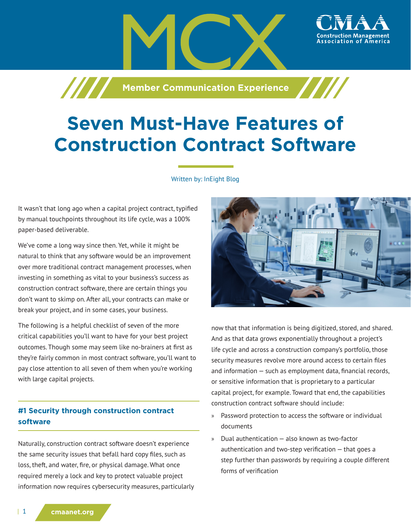**Member Communication Experience** 

# **Seven Must-Have Features of Construction Contract Software**

#### Written by: InEight Blog

It wasn't that long ago when a capital project contract, typified by manual touchpoints throughout its life cycle, was a 100% paper-based deliverable.

/////

We've come a long way since then. Yet, while it might be natural to think that any software would be an improvement over more traditional contract management processes, when investing in something as vital to your business's success as construction contract software, there are certain things you don't want to skimp on. After all, your contracts can make or break your project, and in some cases, your business.

The following is a helpful checklist of seven of the more critical capabilities you'll want to have for your best project outcomes. Though some may seem like no-brainers at first as they're fairly common in most contract software, you'll want to pay close attention to all seven of them when you're working with large capital projects.

# **#1 Security through construction contract software**

Naturally, construction contract software doesn't experience the same security issues that befall hard copy files, such as loss, theft, and water, fire, or physical damage. What once required merely a lock and key to protect valuable project information now requires cybersecurity measures, particularly



ssociation of

now that that information is being digitized, stored, and shared. And as that data grows exponentially throughout a project's life cycle and across a construction company's portfolio, those security measures revolve more around access to certain files and information — such as employment data, financial records, or sensitive information that is proprietary to a particular capital project, for example. Toward that end, the capabilities construction contract software should include:

- » Password protection to access the software or individual documents
- » Dual authentication also known as two-factor authentication and two-step verification  $-$  that goes a step further than passwords by requiring a couple different forms of verification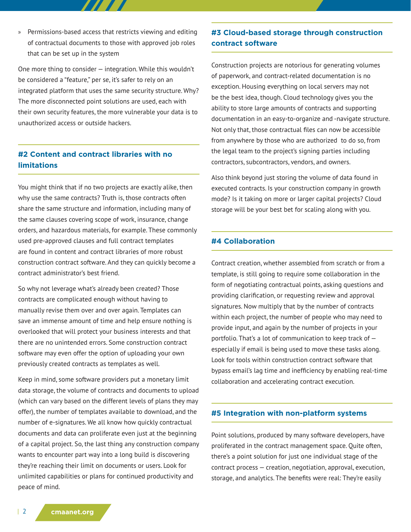» Permissions-based access that restricts viewing and editing of contractual documents to those with approved job roles that can be set up in the system

One more thing to consider — integration. While this wouldn't be considered a "feature," per se, it's safer to rely on an integrated platform that uses the same security structure. Why? The more disconnected point solutions are used, each with their own security features, the more vulnerable your data is to unauthorized access or outside hackers.

# **#2 Content and contract libraries with no limitations**

You might think that if no two projects are exactly alike, then why use the same contracts? Truth is, those contracts often share the same structure and information, including many of the same clauses covering scope of work, insurance, change orders, and hazardous materials, for example. These commonly used pre-approved clauses and full contract templates are found in content and contract libraries of more robust construction contract software. And they can quickly become a contract administrator's best friend.

So why not leverage what's already been created? Those contracts are complicated enough without having to manually revise them over and over again. Templates can save an immense amount of time and help ensure nothing is overlooked that will protect your business interests and that there are no unintended errors. Some construction contract software may even offer the option of uploading your own previously created contracts as templates as well.

Keep in mind, some software providers put a monetary limit data storage, the volume of contracts and documents to upload (which can vary based on the different levels of plans they may offer), the number of templates available to download, and the number of e-signatures. We all know how quickly contractual documents and data can proliferate even just at the beginning of a capital project. So, the last thing any construction company wants to encounter part way into a long build is discovering they're reaching their limit on documents or users. Look for unlimited capabilities or plans for continued productivity and peace of mind.

## **#3 Cloud-based storage through construction contract software**

Construction projects are notorious for generating volumes of paperwork, and contract-related documentation is no exception. Housing everything on local servers may not be the best idea, though. Cloud technology gives you the ability to store large amounts of contracts and supporting documentation in an easy-to-organize and -navigate structure. Not only that, those contractual files can now be accessible from anywhere by those who are authorized to do so, from the legal team to the project's signing parties including contractors, subcontractors, vendors, and owners.

Also think beyond just storing the volume of data found in executed contracts. Is your construction company in growth mode? Is it taking on more or larger capital projects? Cloud storage will be your best bet for scaling along with you.

#### **#4 Collaboration**

Contract creation, whether assembled from scratch or from a template, is still going to require some collaboration in the form of negotiating contractual points, asking questions and providing clarification, or requesting review and approval signatures. Now multiply that by the number of contracts within each project, the number of people who may need to provide input, and again by the number of projects in your portfolio. That's a lot of communication to keep track of especially if email is being used to move these tasks along. Look for tools within construction contract software that bypass email's lag time and inefficiency by enabling real-time collaboration and accelerating contract execution.

#### **#5 Integration with non-platform systems**

Point solutions, produced by many software developers, have proliferated in the contract management space. Quite often, there's a point solution for just one individual stage of the contract process — creation, negotiation, approval, execution, storage, and analytics. The benefits were real: They're easily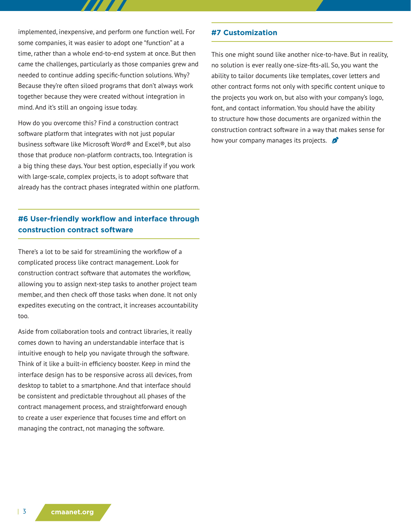implemented, inexpensive, and perform one function well. For some companies, it was easier to adopt one "function" at a time, rather than a whole end-to-end system at once. But then came the challenges, particularly as those companies grew and needed to continue adding specific-function solutions. Why? Because they're often siloed programs that don't always work together because they were created without integration in mind. And it's still an ongoing issue today.

How do you overcome this? Find a construction contract software platform that integrates with not just popular business software like Microsoft Word® and Excel®, but also those that produce non-platform contracts, too. Integration is a big thing these days. Your best option, especially if you work with large-scale, complex projects, is to adopt software that already has the contract phases integrated within one platform.

# **#6 User-friendly workflow and interface through construction contract software**

There's a lot to be said for streamlining the workflow of a complicated process like contract management. Look for construction contract software that automates the workflow, allowing you to assign next-step tasks to another project team member, and then check off those tasks when done. It not only expedites executing on the contract, it increases accountability too.

Aside from collaboration tools and contract libraries, it really comes down to having an understandable interface that is intuitive enough to help you navigate through the software. Think of it like a built-in efficiency booster. Keep in mind the interface design has to be responsive across all devices, from desktop to tablet to a smartphone. And that interface should be consistent and predictable throughout all phases of the contract management process, and straightforward enough to create a user experience that focuses time and effort on managing the contract, not managing the software.

### **#7 Customization**

This one might sound like another nice-to-have. But in reality, no solution is ever really one-size-fits-all. So, you want the ability to tailor documents like templates, cover letters and other contract forms not only with specific content unique to the projects you work on, but also with your company's logo, font, and contact information. You should have the ability to structure how those documents are organized within the construction contract software in a way that makes sense for how your company manages its projects.  $\beta$